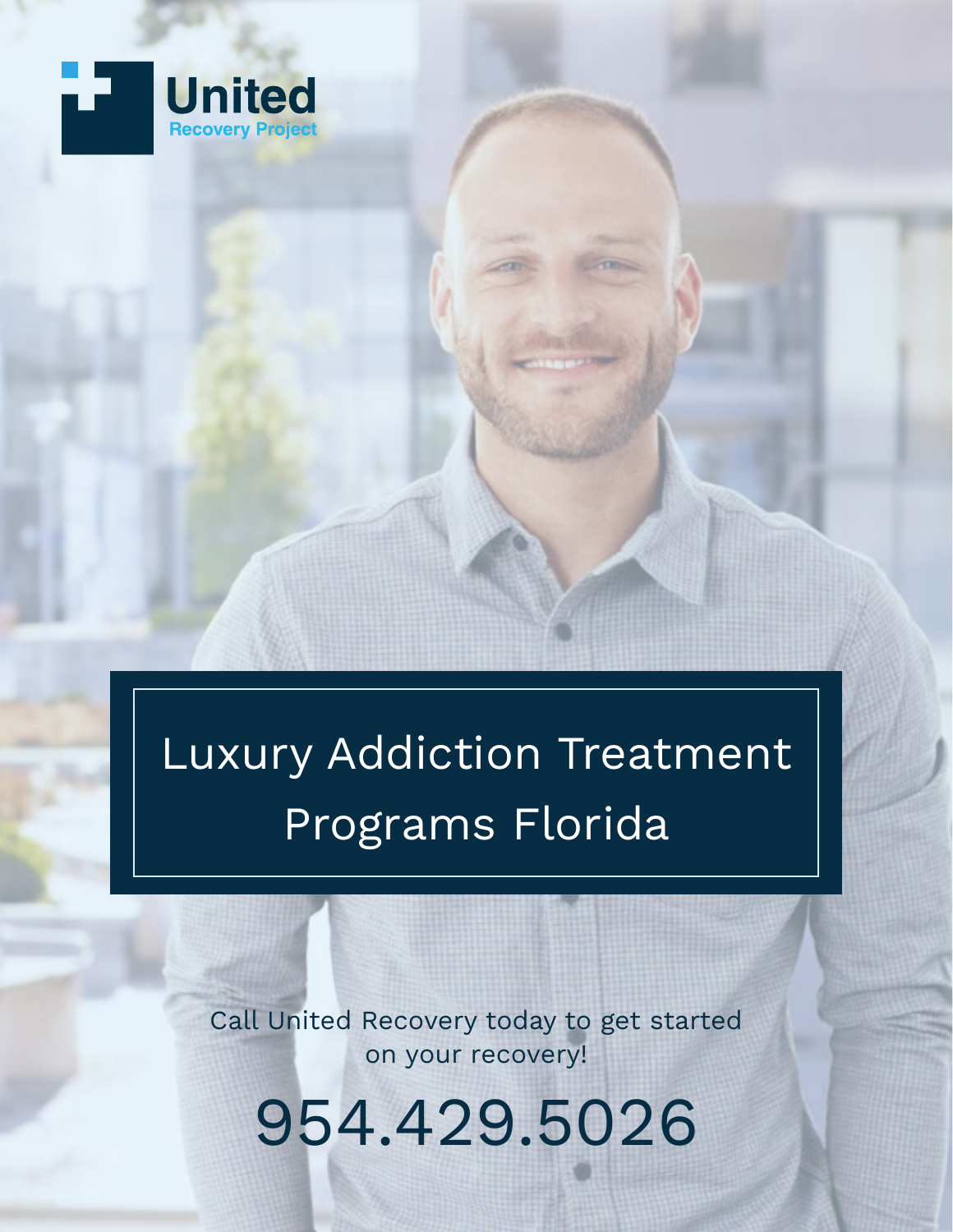

Luxury Addiction Treatment Programs Florida

Call United Recovery today to get started on your recovery!

9[54.429.5026](tel:+1954.429.5026)

[United Recovery Project](https://www.summitestate.com/) 1 Luxury Additional Project 1 Luxury Additional Project 1 Luxury Addition Treatment Pro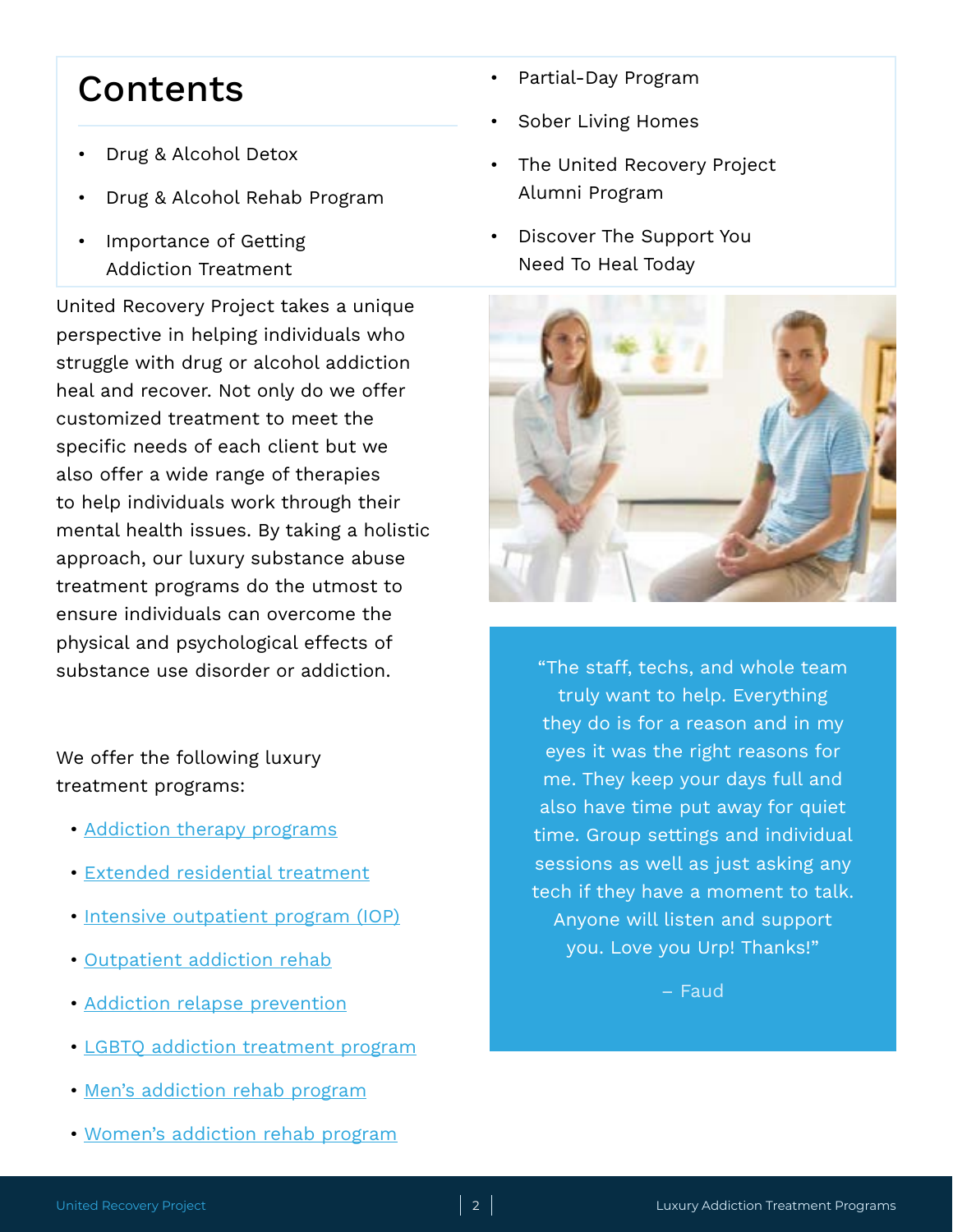#### **Contents**

- [Drug & Alcohol Detox](#page-2-0)
- [Drug & Alcohol Rehab Program](#page-2-0)
- [Importance of Getting](#page-3-0)  [Addiction Treatment](#page-3-0)

United Recovery Project takes a unique perspective in helping individuals who struggle with drug or alcohol addiction heal and recover. Not only do we offer customized treatment to meet the specific needs of each client but we also offer a wide range of therapies to help individuals work through their mental health issues. By taking a holistic approach, our luxury substance abuse treatment programs do the utmost to ensure individuals can overcome the physical and psychological effects of substance use disorder or addiction.

We offer the following luxury treatment programs:

- [Addiction therapy programs](https://www.unitedrecoveryproject.com/luxury-addiction-treatment-programs/addiction-therapy-programs-florida/)
- [Extended residential treatment](https://www.unitedrecoveryproject.com/luxury-addiction-treatment-programs/extended-residential-addiction-treatment-center-florida/)
- [Intensive outpatient program \(IOP\)](https://www.unitedrecoveryproject.com/luxury-addiction-treatment-programs/intensive-outpatient-program-iop-south-florida/)
- [Outpatient addiction rehab](https://www.unitedrecoveryproject.com/luxury-addiction-treatment-programs/outpatient-drug-alcohol-rehab-center-south-florida/)
- [Addiction relapse prevention](https://www.unitedrecoveryproject.com/luxury-addiction-treatment-programs/drug-relapse-prevention-program-south-florida/)
- [LGBTQ addiction treatment program](https://www.unitedrecoveryproject.com/luxury-addiction-treatment-programs/lgbtq-addiction-treatment-center-florida/)
- [Men's addiction rehab program](https://www.unitedrecoveryproject.com/luxury-addiction-treatment-programs/mens-rehab-center-florida/)
- [Women's addiction rehab program](https://www.unitedrecoveryproject.com/luxury-addiction-treatment-programs/womens-rehab-center-florida/)
- [Partial-Day Program](#page-2-0)
- [Sober Living Homes](#page-3-0)
- [The United Recovery Project](#page-3-0)  [Alumni Program](#page-3-0)
- [Discover The Support You](#page-4-0)  [Need To Heal Today](#page-4-0)



"The staff, techs, and whole team truly want to help. Everything they do is for a reason and in my eyes it was the right reasons for me. They keep your days full and also have time put away for quiet time. Group settings and individual sessions as well as just asking any tech if they have a moment to talk. Anyone will listen and support you. Love you Urp! Thanks!"

– Faud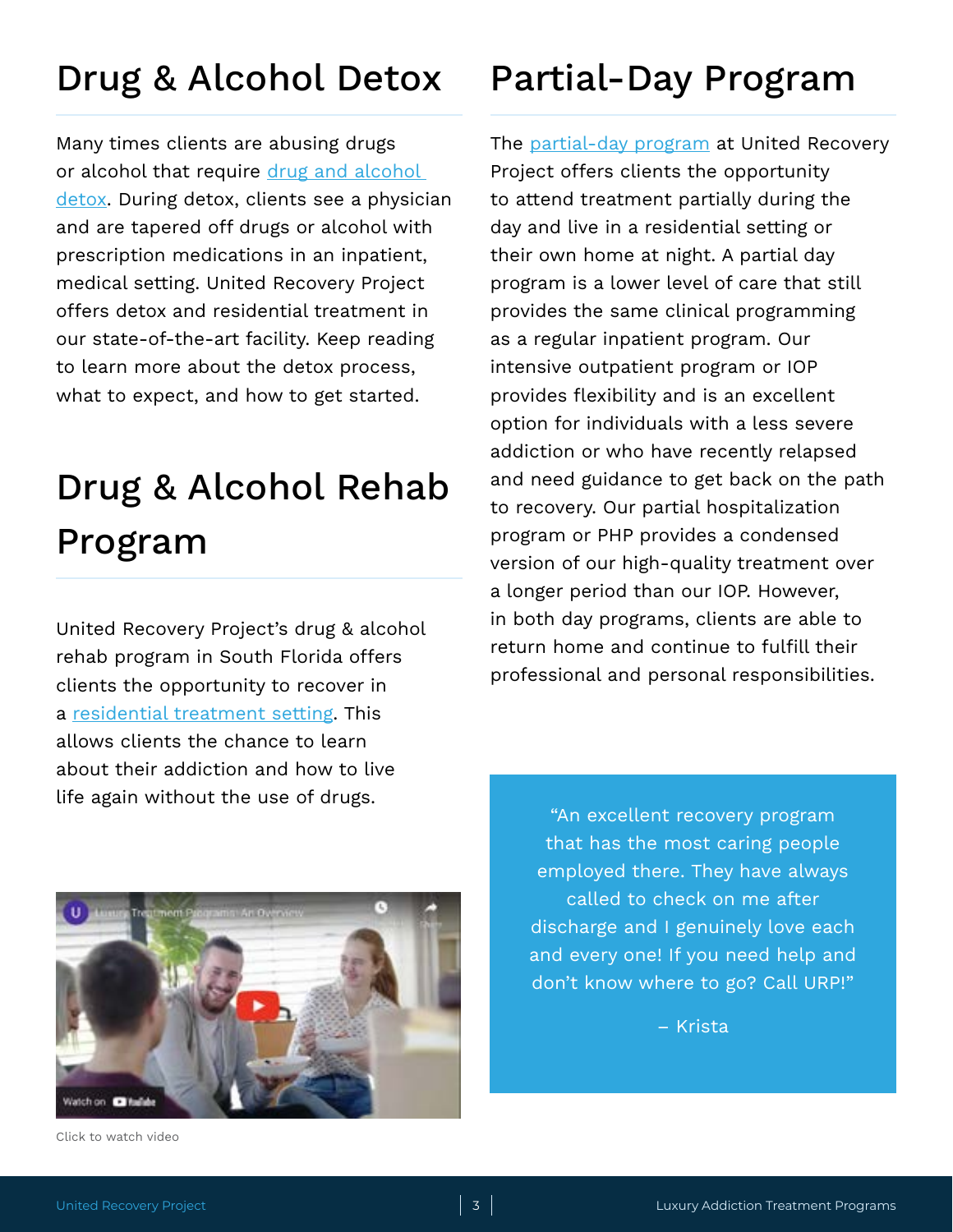### <span id="page-2-0"></span>Drug & Alcohol Detox

Many times clients are abusing drugs or alcohol that require drug and alcohol [detox.](https://www.unitedrecoveryproject.com/luxury-addiction-treatment-programs/addiction-therapy-programs-florida/holistic-detox-center-florida/) During detox, clients see a physician and are tapered off drugs or alcohol with prescription medications in an inpatient, medical setting. United Recovery Project offers detox and residential treatment in our state-of-the-art facility. Keep reading to learn more about the detox process, what to expect, and how to get started.

## Drug & Alcohol Rehab Program

United Recovery Project's drug & alcohol rehab program in South Florida offers clients the opportunity to recover in a [residential treatment setting](https://www.unitedrecoveryproject.com/luxury-addiction-treatment-programs/residential-drug-alcohol-addiction-rehab-center-florida/). This allows clients the chance to learn about their addiction and how to live life again without the use of drugs.



The [partial-day program](https://www.unitedrecoveryproject.com/luxury-addiction-treatment-programs/partial-hospitalization-program-php-south-florida/) at United Recovery Project offers clients the opportunity to attend treatment partially during the day and live in a residential setting or their own home at night. A partial day program is a lower level of care that still provides the same clinical programming as a regular inpatient program. Our intensive outpatient program or IOP provides flexibility and is an excellent option for individuals with a less severe addiction or who have recently relapsed and need guidance to get back on the path to recovery. Our partial hospitalization program or PHP provides a condensed version of our high-quality treatment over a longer period than our IOP. However, in both day programs, clients are able to return home and continue to fulfill their professional and personal responsibilities.



[Click to watch video](https://youtu.be/1YTrzMrYwN0)

"An excellent recovery program that has the most caring people employed there. They have always called to check on me after discharge and I genuinely love each and every one! If you need help and don't know where to go? Call URP!"

– Krista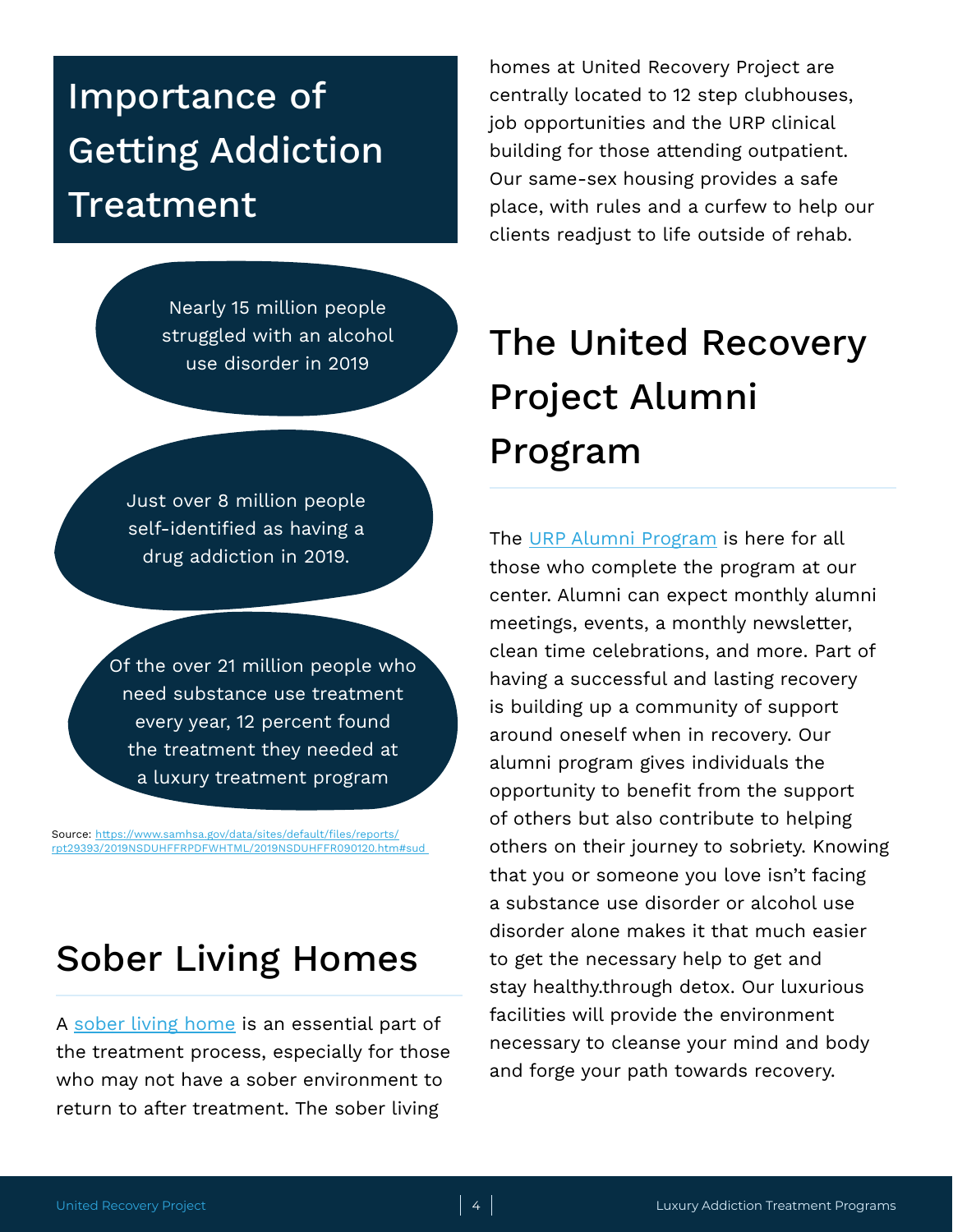### <span id="page-3-0"></span>Importance of Getting Addiction Treatment

Nearly 15 million people struggled with an alcohol use disorder in 2019

Just over 8 million people self-identified as having a drug addiction in 2019.

Of the over 21 million people who need substance use treatment every year, 12 percent found the treatment they needed at a luxury treatment program

Source: [https://www.samhsa.gov/data/sites/default/files/reports/](https://www.samhsa.gov/data/sites/default/files/reports/rpt29393/2019NSDUHFFRPDFWHTML/2019NSDUHFFR090120.htm#sud ) [rpt29393/2019NSDUHFFRPDFWHTML/2019NSDUHFFR090120.htm#sud](https://www.samhsa.gov/data/sites/default/files/reports/rpt29393/2019NSDUHFFRPDFWHTML/2019NSDUHFFR090120.htm#sud ) 

### Sober Living Homes

A [sober living home](https://www.unitedrecoveryproject.com/luxury-addiction-treatment-programs/sober-living-homes-south-florida/) is an essential part of the treatment process, especially for those who may not have a sober environment to return to after treatment. The sober living

homes at United Recovery Project are centrally located to 12 step clubhouses, job opportunities and the URP clinical building for those attending outpatient. Our same-sex housing provides a safe place, with rules and a curfew to help our clients readjust to life outside of rehab.

# The United Recovery Project Alumni Program

The [URP Alumni Program](https://www.unitedrecoveryproject.com/luxury-addiction-treatment-programs/rehab-alumni-program-south-florida/) is here for all those who complete the program at our center. Alumni can expect monthly alumni meetings, events, a monthly newsletter, clean time celebrations, and more. Part of having a successful and lasting recovery is building up a community of support around oneself when in recovery. Our alumni program gives individuals the opportunity to benefit from the support of others but also contribute to helping others on their journey to sobriety. Knowing that you or someone you love isn't facing a substance use disorder or alcohol use disorder alone makes it that much easier to get the necessary help to get and stay healthy.through detox. Our luxurious facilities will provide the environment necessary to cleanse your mind and body and forge your path towards recovery.